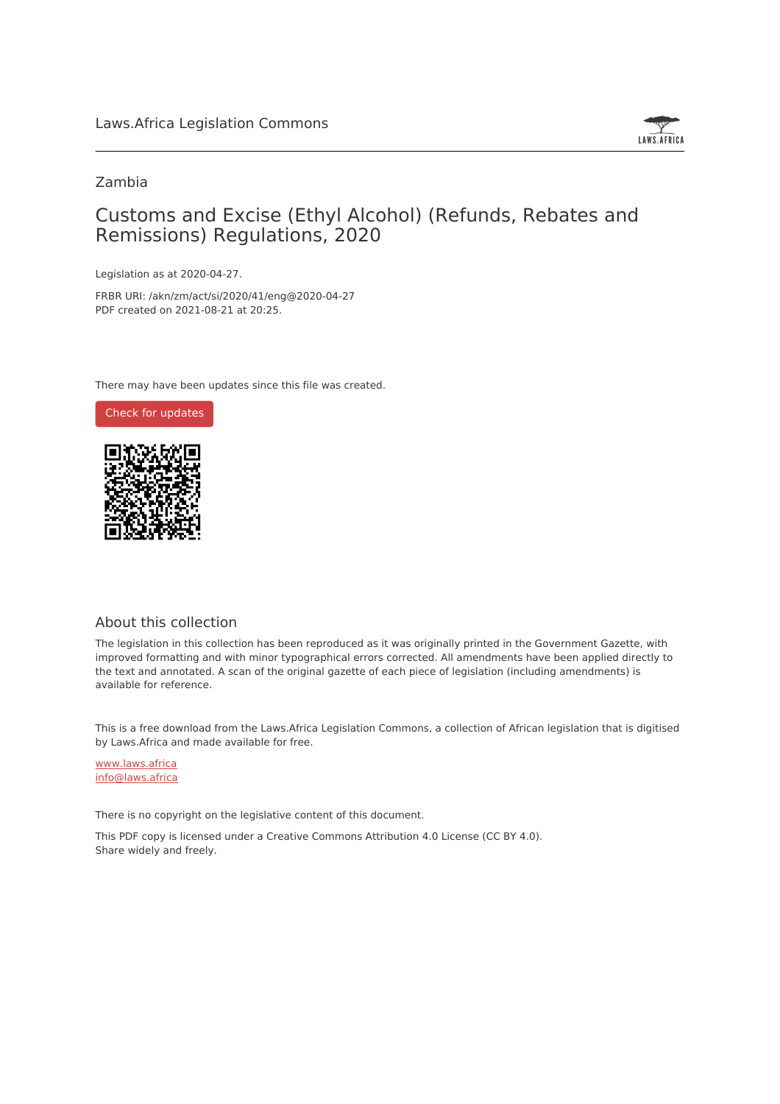

# Zambia

# Customs and Excise (Ethyl Alcohol) (Refunds, Rebates and Remissions) Regulations, 2020

Legislation as at 2020-04-27.

FRBR URI: /akn/zm/act/si/2020/41/eng@2020-04-27 PDF created on 2021-08-21 at 20:25.

There may have been updates since this file was created.



# About this collection

The legislation in this collection has been reproduced as it was originally printed in the Government Gazette, with improved formatting and with minor typographical errors corrected. All amendments have been applied directly to the text and annotated. A scan of the original gazette of each piece of legislation (including amendments) is available for reference.

This is a free download from the Laws.Africa Legislation Commons, a collection of African legislation that is digitised by Laws.Africa and made available for free.

[www.laws.africa](https://www.laws.africa) [info@laws.africa](mailto:info@laws.africa)

There is no copyright on the legislative content of this document.

This PDF copy is licensed under a Creative Commons Attribution 4.0 License (CC BY 4.0). Share widely and freely.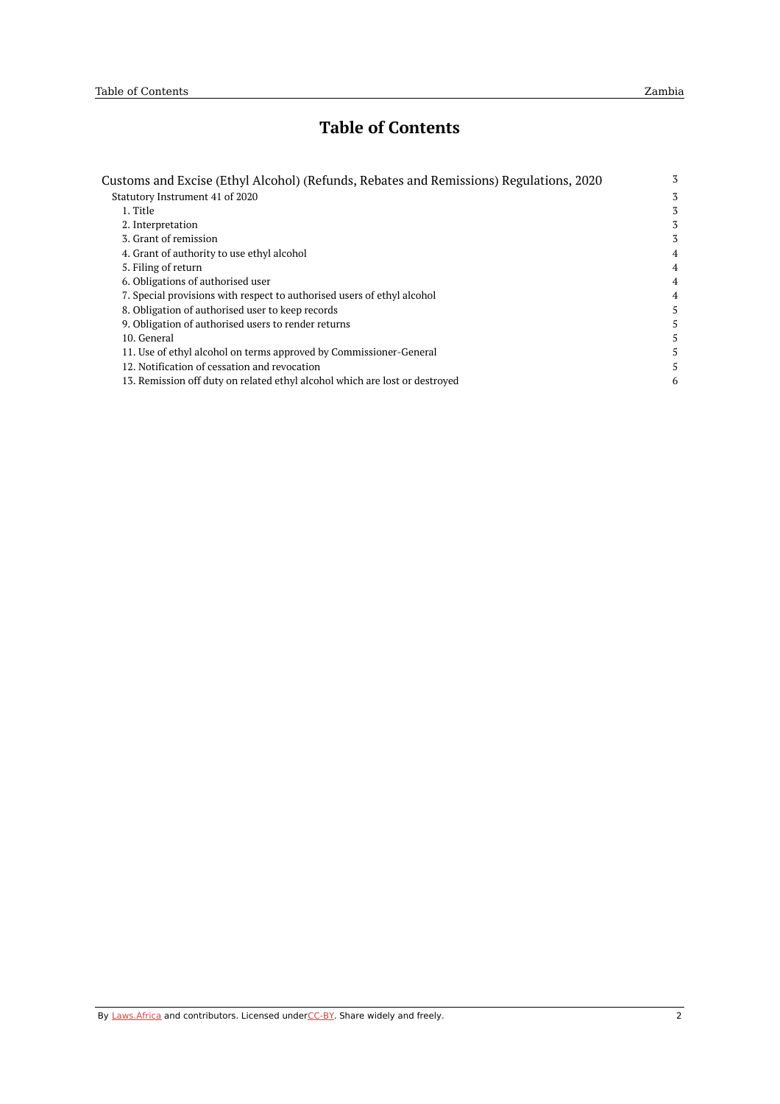# **Table of Contents**

| Customs and Excise (Ethyl Alcohol) (Refunds, Rebates and Remissions) Regulations, 2020 | 3 |
|----------------------------------------------------------------------------------------|---|
| Statutory Instrument 41 of 2020                                                        | 3 |
| 1. Title                                                                               | 3 |
| 2. Interpretation                                                                      | 3 |
| 3. Grant of remission                                                                  | 3 |
| 4. Grant of authority to use ethyl alcohol                                             | 4 |
| 5. Filing of return                                                                    | 4 |
| 6. Obligations of authorised user                                                      | 4 |
| 7. Special provisions with respect to authorised users of ethyl alcohol                | 4 |
| 8. Obligation of authorised user to keep records                                       | 5 |
| 9. Obligation of authorised users to render returns                                    | 5 |
| 10. General                                                                            | 5 |
| 11. Use of ethyl alcohol on terms approved by Commissioner-General                     | 5 |
| 12. Notification of cessation and revocation                                           | 5 |
| 13. Remission off duty on related ethyl alcohol which are lost or destroved            | 6 |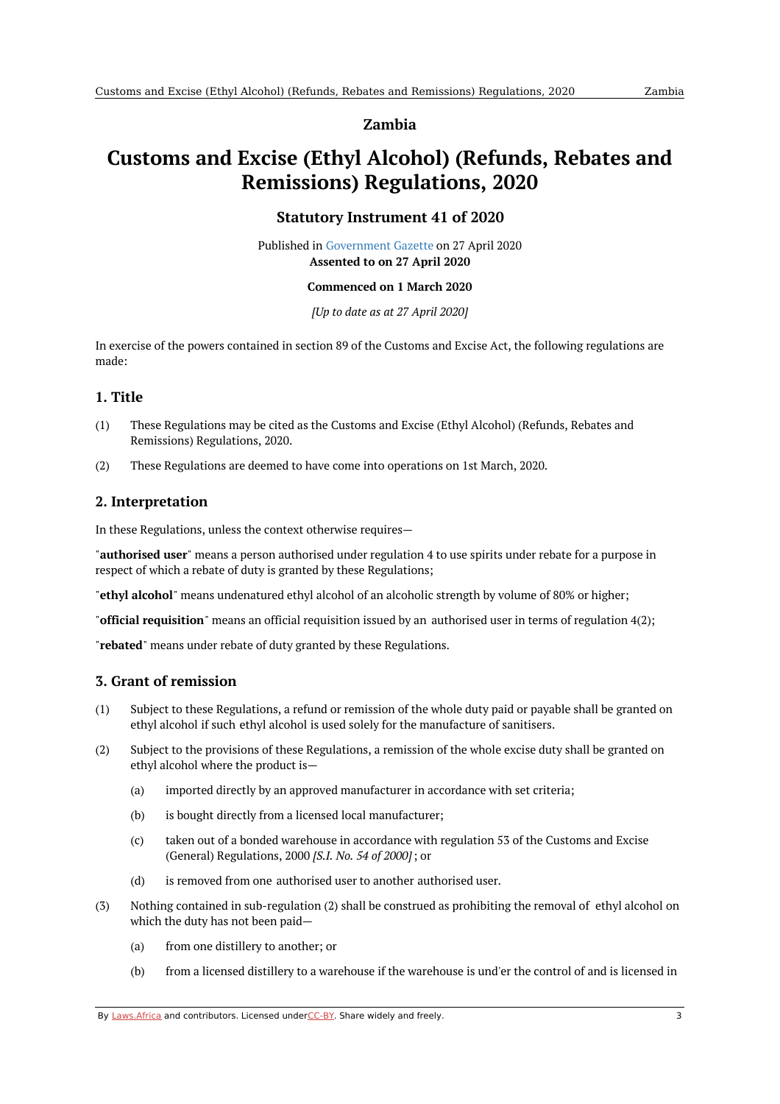#### **Zambia**

# <span id="page-2-1"></span><span id="page-2-0"></span>**Customs and Excise (Ethyl Alcohol) (Refunds, Rebates and Remissions) Regulations, 2020**

# **Statutory Instrument 41 of 2020**

Published in [Government](https://commons.laws.africa/akn/zm/act/si/2020/41/media/publication/zm-act-si-2020-41-publication-document.pdf) Gazette on 27 April 2020 **Assented to on 27 April 2020**

#### **Commenced on 1 March 2020**

*[Up to date as at 27 April 2020]*

In exercise of the powers contained in section 89 of the Customs and Excise Act, the following regulations are made:

#### <span id="page-2-2"></span>**1. Title**

- (1) These Regulations may be cited as the Customs and Excise (Ethyl Alcohol) (Refunds, Rebates and Remissions) Regulations, 2020.
- (2) These Regulations are deemed to have come into operations on 1st March, 2020.

# <span id="page-2-3"></span>**2. Interpretation**

In these Regulations, unless the context otherwise requires—

"**authorised user**" means a person authorised under regulation 4 to use spirits under rebate for a purpose in respect of which a rebate of duty is granted by these Regulations;

"**ethyl alcohol**" means undenatured ethyl alcohol of an alcoholic strength by volume of 80% or higher;

"**official requisition**" means an official requisition issued by an authorised user in terms of regulation 4(2);

"**rebated**" means under rebate of duty granted by these Regulations.

# <span id="page-2-4"></span>**3. Grant of remission**

- (1) Subject to these Regulations, a refund or remission of the whole duty paid or payable shall be granted on ethyl alcohol if such ethyl alcohol is used solely for the manufacture of sanitisers.
- (2) Subject to the provisions of these Regulations, a remission of the whole excise duty shall be granted on ethyl alcohol where the product is—
	- (a) imported directly by an approved manufacturer in accordance with set criteria;
	- (b) is bought directly from a licensed local manufacturer;
	- $(c)$ taken out of a bonded warehouse in accordance with regulation 53 of the Customs and Excise (General) Regulations, 2000 *[S.I. No. 54 of 2000]*; or
	- (d) is removed from one authorised user to another authorised user.
- (3) Nothing contained in sub-regulation (2) shall be construed as prohibiting the removal of ethyl alcohol on which the duty has not been paid—
	- (a) from one distillery to another; or
	- (b) from a licensed distillery to a warehouse if the warehouse is und'er the control of and is licensed in

By [Laws.Africa](https://edit.laws.africa/widgets/pdf-attribution) and contributors. Licensed und[erCC-B](https://edit.laws.africa/widgets/pdf-cc-by)Y. Share widely and freely. 3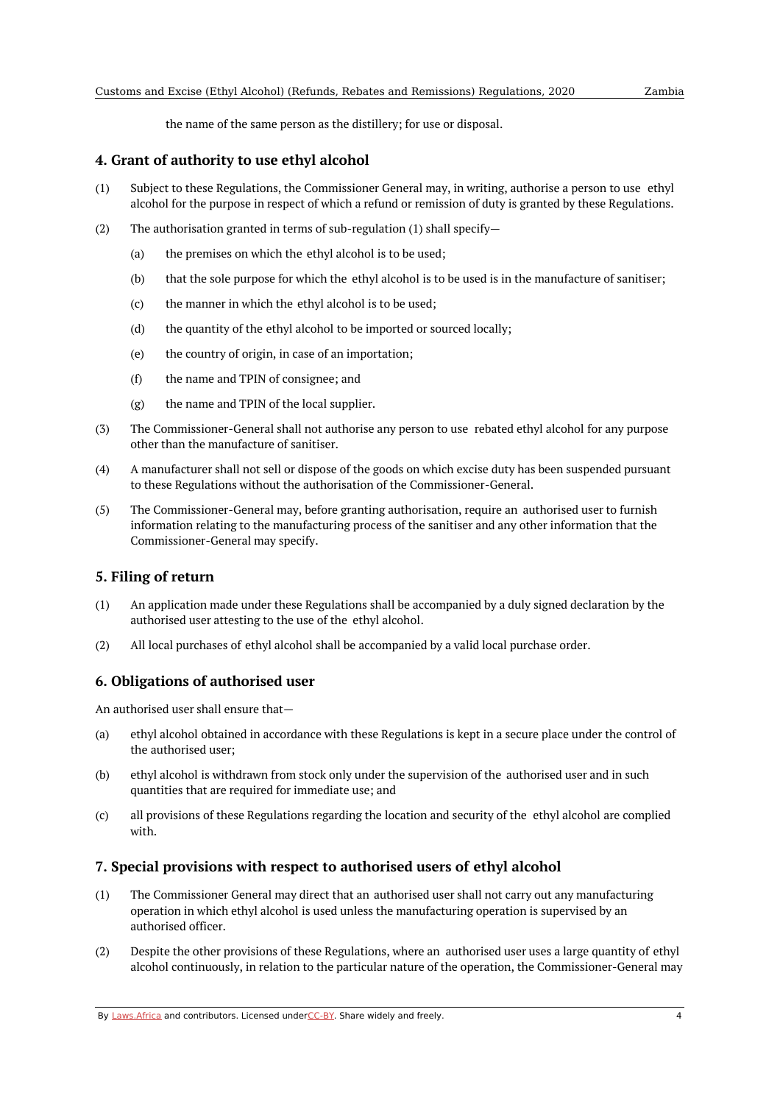the name of the same person as the distillery; for use or disposal.

#### <span id="page-3-0"></span>**4. Grant of authority to use ethyl alcohol**

- (1) Subject to these Regulations, the Commissioner General may, in writing, authorise a person to use ethyl alcohol for the purpose in respect of which a refund or remission of duty is granted by these Regulations.
- (2) The authorisation granted in terms of sub-regulation (1) shall specify—
	- (a) the premises on which the ethyl alcohol is to be used;
	- (b) that the sole purpose for which the ethyl alcohol is to be used is in the manufacture of sanitiser;
	- (c) the manner in which the ethyl alcohol is to be used;
	- (d) the quantity of the ethyl alcohol to be imported or sourced locally;
	- (e) the country of origin, in case of an importation;
	- (f) the name and TPIN of consignee; and
	- (g) the name and TPIN of the local supplier.
- (3) The Commissioner-General shall not authorise any person to use rebated ethyl alcohol for any purpose other than the manufacture of sanitiser.
- (4) A manufacturer shall not sell or dispose of the goods on which excise duty has been suspended pursuant to these Regulations without the authorisation of the Commissioner-General.
- (5) The Commissioner-General may, before granting authorisation, require an authorised user to furnish information relating to the manufacturing process of the sanitiser and any other information that the Commissioner-General may specify.

# <span id="page-3-1"></span>**5. Filing of return**

- (1) An application made under these Regulations shall be accompanied by a duly signed declaration by the authorised user attesting to the use of the ethyl alcohol.
- (2) All local purchases of ethyl alcohol shall be accompanied by a valid local purchase order.

# <span id="page-3-2"></span>**6. Obligations of authorised user**

An authorised user shall ensure that—

- (a) ethyl alcohol obtained in accordance with these Regulations is kept in a secure place under the control of the authorised user;
- (b) ethyl alcohol is withdrawn from stock only under the supervision of the authorised user and in such quantities that are required for immediate use; and
- $(c)$ all provisions of these Regulations regarding the location and security of the ethyl alcohol are complied with.

# <span id="page-3-3"></span>**7. Special provisions with respect to authorised users of ethyl alcohol**

- (1) The Commissioner General may direct that an authorised user shall not carry out any manufacturing operation in which ethyl alcohol is used unless the manufacturing operation is supervised by an authorised officer.
- (2) Despite the other provisions of these Regulations, where an authorised user uses a large quantity of ethyl alcohol continuously, in relation to the particular nature of the operation, the Commissioner-General may

By [Laws.Africa](https://edit.laws.africa/widgets/pdf-attribution) and contributors. Licensed und[erCC-B](https://edit.laws.africa/widgets/pdf-cc-by)Y. Share widely and freely. 4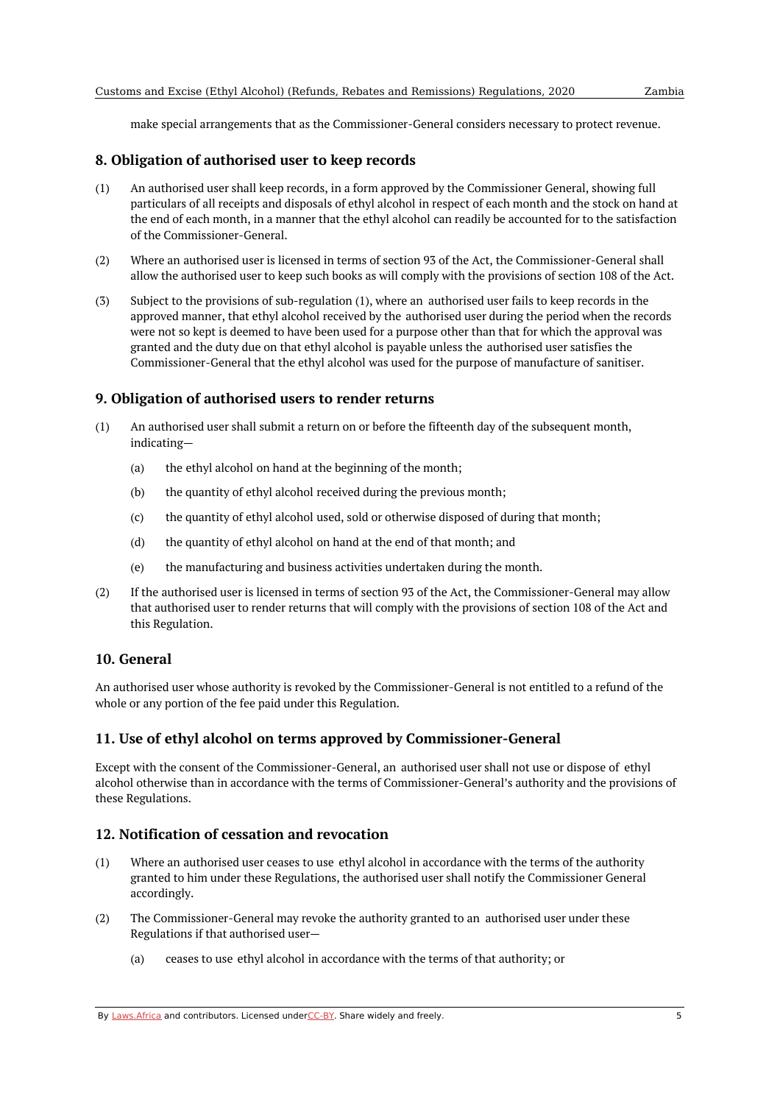make special arrangements that as the Commissioner-General considers necessary to protect revenue.

#### <span id="page-4-0"></span>**8. Obligation of authorised user to keep records**

- (1) An authorised user shall keep records, in a form approved by the Commissioner General, showing full particulars of all receipts and disposals of ethyl alcohol in respect of each month and the stock on hand at the end of each month, in a manner that the ethyl alcohol can readily be accounted for to the satisfaction of the Commissioner-General.
- (2) Where an authorised user is licensed in terms of section 93 of the Act, the Commissioner-General shall allow the authorised user to keep such books as will comply with the provisions of section 108 of the Act.
- (3) Subject to the provisions of sub-regulation (1), where an authorised user fails to keep records in the approved manner, that ethyl alcohol received by the authorised user during the period when the records were not so kept is deemed to have been used for a purpose other than that for which the approval was granted and the duty due on that ethyl alcohol is payable unless the authorised user satisfies the Commissioner-General that the ethyl alcohol was used for the purpose of manufacture of sanitiser.

#### <span id="page-4-1"></span>**9. Obligation of authorised users to render returns**

- (1) An authorised user shall submit a return on or before the fifteenth day of the subsequent month, indicating—
	- (a) the ethyl alcohol on hand at the beginning of the month;
	- (b) the quantity of ethyl alcohol received during the previous month;
	- (c) the quantity of ethyl alcohol used, sold or otherwise disposed of during that month;
	- (d) the quantity of ethyl alcohol on hand at the end of that month; and
	- (e) the manufacturing and business activities undertaken during the month.
- (2) If the authorised user is licensed in terms of section 93 of the Act, the Commissioner-General may allow that authorised user to render returns that will comply with the provisions of section 108 of the Act and this Regulation.

#### <span id="page-4-2"></span>**10. General**

An authorised user whose authority is revoked by the Commissioner-General is not entitled to a refund of the whole or any portion of the fee paid under this Regulation.

#### <span id="page-4-3"></span>**11. Use of ethyl alcohol on terms approved by Commissioner-General**

Except with the consent of the Commissioner-General, an authorised user shall not use or dispose of ethyl alcohol otherwise than in accordance with the terms of Commissioner-General's authority and the provisions of these Regulations.

#### <span id="page-4-4"></span>**12. Notification of cessation and revocation**

- (1) Where an authorised user ceases to use ethyl alcohol in accordance with the terms of the authority granted to him under these Regulations, the authorised user shall notify the Commissioner General accordingly.
- (2) The Commissioner-General may revoke the authority granted to an authorised user under these Regulations if that authorised user—
	- (a) ceases to use ethyl alcohol in accordance with the terms of that authority; or

By [Laws.Africa](https://edit.laws.africa/widgets/pdf-attribution) and contributors. Licensed und[erCC-B](https://edit.laws.africa/widgets/pdf-cc-by)Y. Share widely and freely.